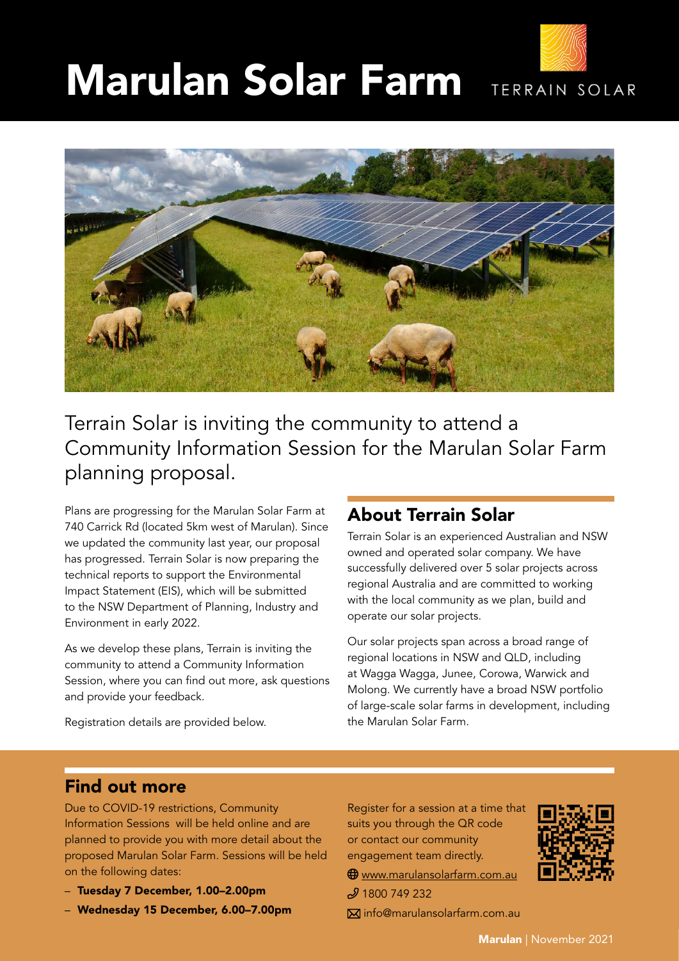# Marulan Solar Farm TERRAIN SOLAR



Terrain Solar is inviting the community to attend a Community Information Session for the Marulan Solar Farm planning proposal.

Plans are progressing for the Marulan Solar Farm at 740 Carrick Rd (located 5km west of Marulan). Since we updated the community last year, our proposal has progressed. Terrain Solar is now preparing the technical reports to support the Environmental Impact Statement (EIS), which will be submitted to the NSW Department of Planning, Industry and Environment in early 2022.

As we develop these plans, Terrain is inviting the community to attend a Community Information Session, where you can find out more, ask questions and provide your feedback.

## About Terrain Solar

Terrain Solar is an experienced Australian and NSW owned and operated solar company. We have successfully delivered over 5 solar projects across regional Australia and are committed to working with the local community as we plan, build and operate our solar projects.

Our solar projects span across a broad range of regional locations in NSW and QLD, including at Wagga Wagga, Junee, Corowa, Warwick and Molong. We currently have a broad NSW portfolio of large-scale solar farms in development, including the Marulan Solar Farm.

Registration details are provided below.

## Find out more

Due to COVID-19 restrictions, Community Information Sessions will be held online and are planned to provide you with more detail about the proposed Marulan Solar Farm. Sessions will be held on the following dates:

- Tuesday 7 December, 1.00–2.00pm
- Wednesday 15 December, 6.00–7.00pm

Register for a session at a time that suits you through the QR code or contact our community engagement team directly.

 $\bigoplus$  www.marulansolarfarm.com.au  $$$ 1800 749 232

info@marulansolarfarm.com.au

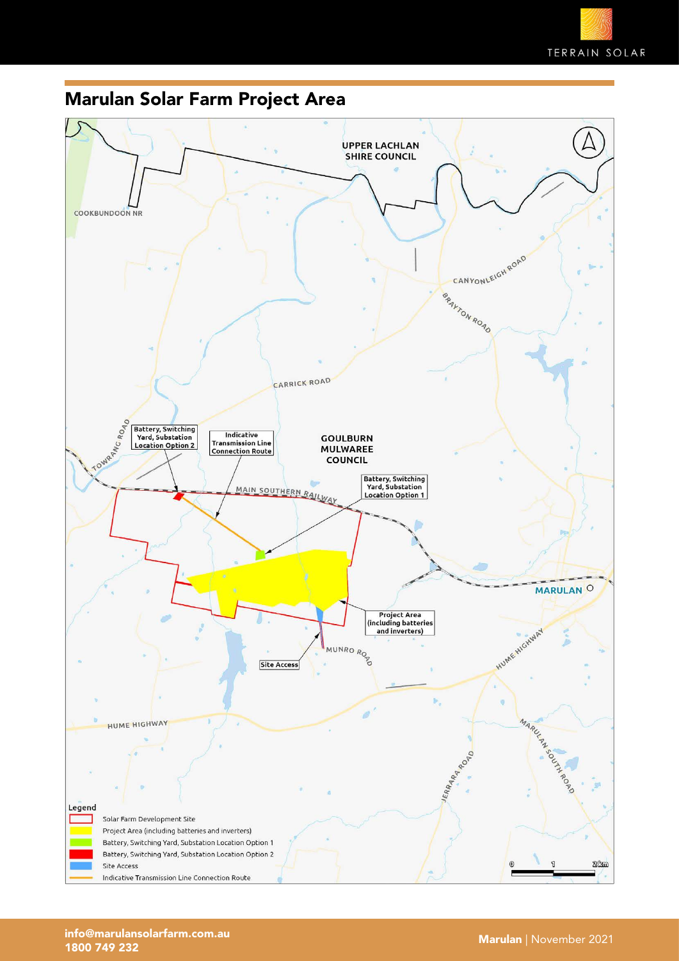# Marulan Solar Farm Project Area

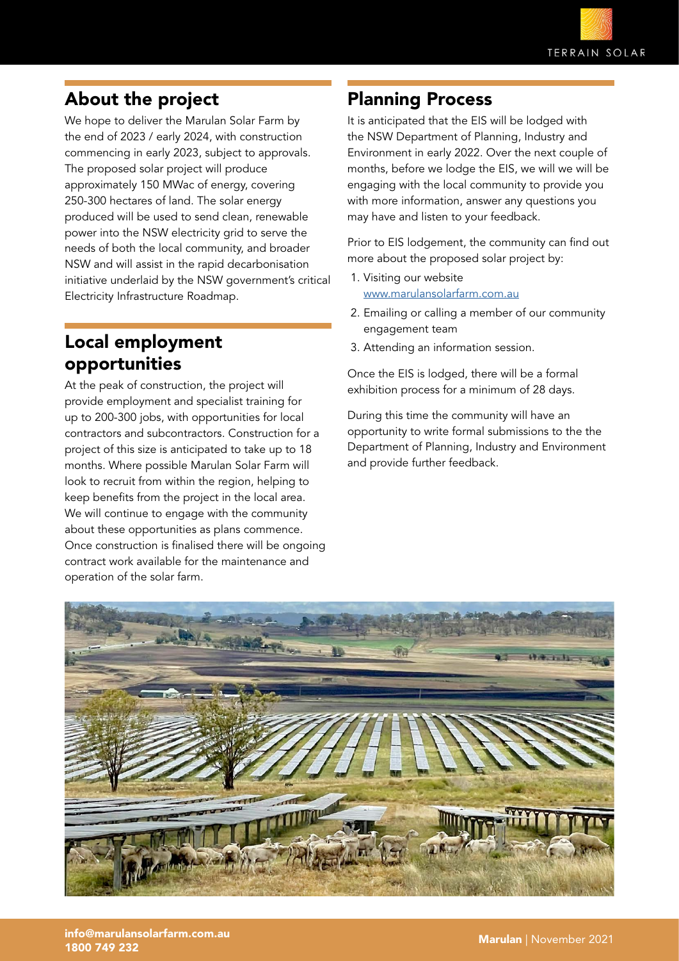# About the project

We hope to deliver the Marulan Solar Farm by the end of 2023 / early 2024, with construction commencing in early 2023, subject to approvals. The proposed solar project will produce approximately 150 MWac of energy, covering 250-300 hectares of land. The solar energy produced will be used to send clean, renewable power into the NSW electricity grid to serve the needs of both the local community, and broader NSW and will assist in the rapid decarbonisation initiative underlaid by the NSW government's critical Electricity Infrastructure Roadmap.

#### Local employment opportunities

At the peak of construction, the project will provide employment and specialist training for up to 200-300 jobs, with opportunities for local contractors and subcontractors. Construction for a project of this size is anticipated to take up to 18 months. Where possible Marulan Solar Farm will look to recruit from within the region, helping to keep benefits from the project in the local area. We will continue to engage with the community about these opportunities as plans commence. Once construction is finalised there will be ongoing contract work available for the maintenance and operation of the solar farm.

## Planning Process

It is anticipated that the EIS will be lodged with the NSW Department of Planning, Industry and Environment in early 2022. Over the next couple of months, before we lodge the EIS, we will we will be engaging with the local community to provide you with more information, answer any questions you may have and listen to your feedback.

Prior to EIS lodgement, the community can find out more about the proposed solar project by:

- 1. Visiting our website [www.marulansolarfarm.com.au](http://www.marulansolarfarm.com.au)
- 2. Emailing or calling a member of our community engagement team
- 3. Attending an information session.

Once the EIS is lodged, there will be a formal exhibition process for a minimum of 28 days.

During this time the community will have an opportunity to write formal submissions to the the Department of Planning, Industry and Environment and provide further feedback.